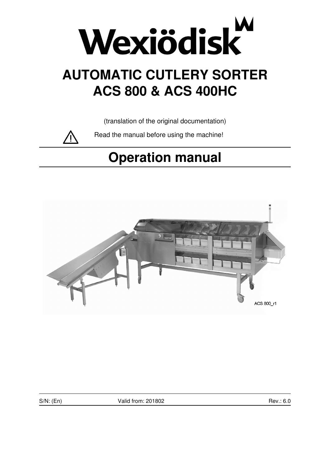

# **AUTOMATIC CUTLERY SORTER ACS 800 & ACS 400HC**

(translation of the original documentation)

Read the manual before using the machine!

# **Operation manual**



S/N: (En) Valid from: 201802 Rev.: 6.0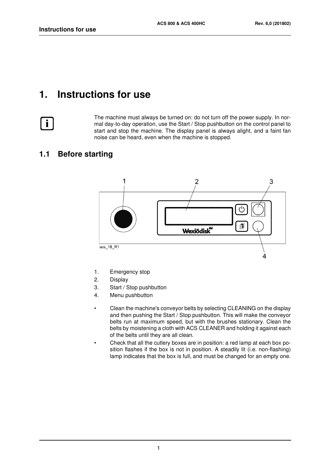# <span id="page-4-0"></span>**1. Instructions for use**



The machine must always be turned on: do not turn off the power supply. In normal day-to-day operation, use the Start / Stop pushbutton on the control panel to start and stop the machine. The display panel is always alight, and a faint fan noise can be heard, even when the machine is stopped.

## <span id="page-4-1"></span>**1.1 Before starting**



- 1. Emergency stop
- 2. Display
- 3. Start / Stop pushbutton
- 4. Menu pushbutton
- Clean the machine's conveyor belts by selecting CLEANING on the display and then pushing the Start / Stop pushbutton. This will make the conveyor belts run at maximum speed, but with the brushes stationary. Clean the belts by moistening a cloth with ACS CLEANER and holding it against each of the belts until they are all clean.
- Check that all the cutlery boxes are in position: a red lamp at each box position flashes if the box is not in position. A steadily lit (i.e. non-flashing) lamp indicates that the box is full, and must be changed for an empty one.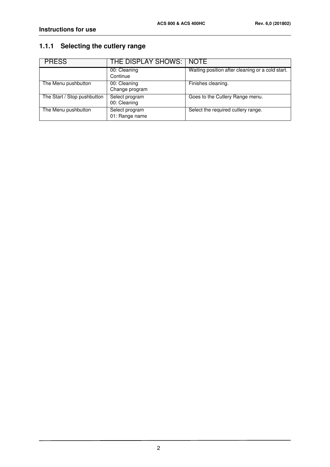# <span id="page-5-0"></span>**1.1.1 Selecting the cutlery range**

| <b>PRESS</b>                | THE DISPLAY SHOWS:   NOTE        |                                                  |
|-----------------------------|----------------------------------|--------------------------------------------------|
|                             | 00: Cleaning<br>Continue         | Waiting position after cleaning or a cold start. |
| The Menu pushbutton         | 00: Cleaning<br>Change program   | Finishes cleaning.                               |
| The Start / Stop pushbutton | Select program<br>00: Cleaning   | Goes to the Cutlery Range menu.                  |
| The Menu pushbutton         | Select program<br>01: Range name | Select the required cutlery range.               |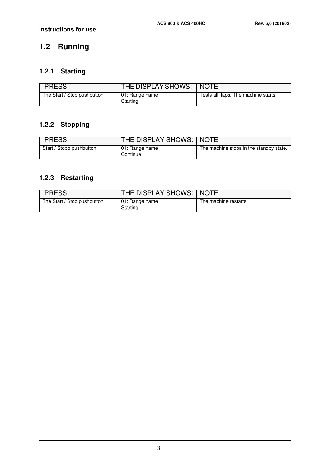# <span id="page-6-0"></span>**1.2 Running**

# <span id="page-6-1"></span>**1.2.1 Starting**

| <b>PRESS</b>                | THE DISPLAY SHOWS:   NOTE  |                                      |
|-----------------------------|----------------------------|--------------------------------------|
| The Start / Stop pushbutton | 01: Range name<br>Starting | Tests all flaps. The machine starts. |

## <span id="page-6-2"></span>**1.2.2 Stopping**

| <b>PRESS</b>             | THE DISPLAY SHOWS:   NOTE  |                                         |
|--------------------------|----------------------------|-----------------------------------------|
| Start / Stopp pushbutton | 01: Range name<br>Continue | The machine stops in the standby state. |

## <span id="page-6-3"></span>**1.2.3 Restarting**

| <b>PRESS</b>                | THE DISPLAY SHOWS:   NOTE  |                       |
|-----------------------------|----------------------------|-----------------------|
| The Start / Stop pushbutton | 01: Range name<br>Starting | The machine restarts. |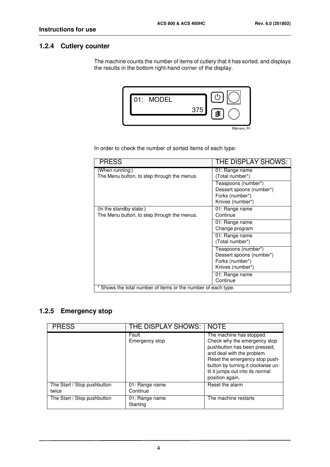#### <span id="page-7-0"></span>**1.2.4 Cutlery counter**

The machine counts the number of items of cutlery that it has sorted, and displays the results in the bottom right-hand corner of the display.



In order to check the number of sorted items of each type:

| <b>PRESS</b>                                                  | THE DISPLAY SHOWS:       |  |
|---------------------------------------------------------------|--------------------------|--|
| (When running:)                                               | 01: Range name           |  |
| The Menu button, to step through the menus.                   | (Total number*)          |  |
|                                                               | Teaspoons (number*)      |  |
|                                                               | Dessert spoons (number*) |  |
|                                                               | Forks (number*)          |  |
|                                                               | Knives (number*)         |  |
| (In the standby state:)                                       | 01: Range name           |  |
| The Menu button, to step through the menus.                   | Continue                 |  |
|                                                               | 01: Range name           |  |
|                                                               | Change program           |  |
|                                                               | 01: Range name           |  |
|                                                               | (Total number*)          |  |
|                                                               | Teaspoons (number*)      |  |
|                                                               | Dessert spoons (number*) |  |
|                                                               | Forks (number*)          |  |
|                                                               | Knives (number*)         |  |
|                                                               | 01: Range name           |  |
|                                                               | Continue                 |  |
| * Shows the total number of items or the number of each type. |                          |  |

#### <span id="page-7-1"></span>**1.2.5 Emergency stop**

| <b>PRESS</b>                         | THE DISPLAY SHOWS:         | <b>NOTE</b>                                                                                                                                                                                                                                           |
|--------------------------------------|----------------------------|-------------------------------------------------------------------------------------------------------------------------------------------------------------------------------------------------------------------------------------------------------|
|                                      | Fault<br>Emergency stop    | The machine has stopped.<br>Check why the emergency stop<br>pushbutton has been pressed,<br>and deal with the problem.<br>Reset the emergency stop push-<br>button by turning it clockwise un-<br>til it jumps out into its normal<br>position again. |
| The Start / Stop pushbutton<br>twice | 01: Range name<br>Continue | Reset the alarm                                                                                                                                                                                                                                       |
| The Start / Stop pushbutton          | 01: Range name<br>Starting | The machine restarts                                                                                                                                                                                                                                  |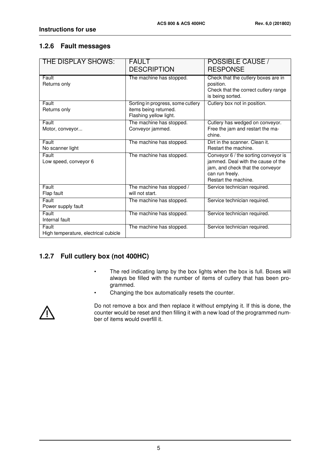#### <span id="page-8-0"></span>**1.2.6 Fault messages**

| THE DISPLAY SHOWS:                            | <b>FAULT</b>                                                                         | POSSIBLE CAUSE /                                                                                                                                          |
|-----------------------------------------------|--------------------------------------------------------------------------------------|-----------------------------------------------------------------------------------------------------------------------------------------------------------|
|                                               | <b>DESCRIPTION</b>                                                                   | <b>RESPONSE</b>                                                                                                                                           |
| Fault<br>Returns only                         | The machine has stopped.                                                             | Check that the cutlery boxes are in<br>position.<br>Check that the correct cutlery range<br>is being sorted.                                              |
| Fault<br>Returns only                         | Sorting in progress, some cutlery<br>items being returned.<br>Flashing yellow light. | Cutlery box not in position.                                                                                                                              |
| Fault<br>Motor, conveyor                      | The machine has stopped.<br>Conveyor jammed.                                         | Cutlery has wedged on conveyor.<br>Free the jam and restart the ma-<br>chine.                                                                             |
| Fault<br>No scanner light                     | The machine has stopped.                                                             | Dirt in the scanner. Clean it.<br>Restart the machine.                                                                                                    |
| Fault<br>Low speed, conveyor 6                | The machine has stopped.                                                             | Conveyor 6 / the sorting conveyor is<br>jammed. Deal with the cause of the<br>jam, and check that the conveyor<br>can run freely.<br>Restart the machine. |
| Fault<br>Flap fault                           | The machine has stopped /<br>will not start.                                         | Service technician required.                                                                                                                              |
| Fault<br>Power supply fault                   | The machine has stopped.                                                             | Service technician required.                                                                                                                              |
| Fault<br>Internal fault                       | The machine has stopped.                                                             | Service technician required.                                                                                                                              |
| Fault<br>High temperature, electrical cubicle | The machine has stopped.                                                             | Service technician required.                                                                                                                              |

### <span id="page-8-1"></span>**1.2.7 Full cutlery box (not 400HC)**

- The red indicating lamp by the box lights when the box is full. Boxes will always be filled with the number of items of cutlery that has been programmed.
- Changing the box automatically resets the counter.



Do not remove a box and then replace it without emptying it. If this is done, the counter would be reset and then filling it with a new load of the programmed number of items would overfill it.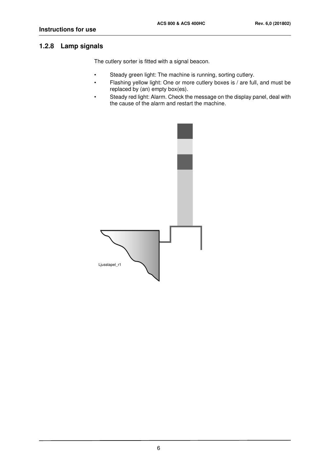#### <span id="page-9-0"></span>**1.2.8 Lamp signals**

The cutlery sorter is fitted with a signal beacon.

- Steady green light: The machine is running, sorting cutlery.
- Flashing yellow light: One or more cutlery boxes is / are full, and must be replaced by (an) empty box(es).
- Steady red light: Alarm. Check the message on the display panel, deal with the cause of the alarm and restart the machine.

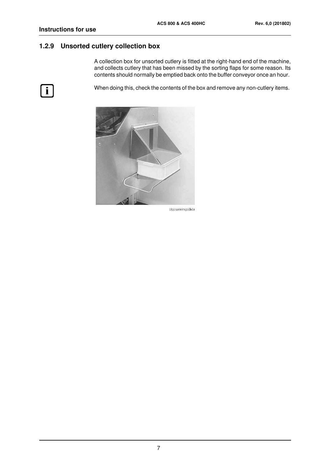#### <span id="page-10-0"></span>**1.2.9 Unsorted cutlery collection box**

A collection box for unsorted cutlery is fitted at the right-hand end of the machine, and collects cutlery that has been missed by the sorting flaps for some reason. Its contents should normally be emptied back onto the buffer conveyor once an hour.

 $\boxed{\mathbf{i}}$ 

When doing this, check the contents of the box and remove any non-cutlery items.



Uppsamlingslåda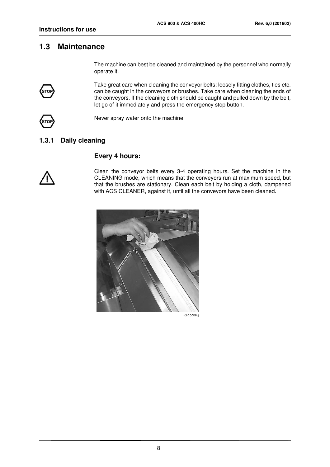### <span id="page-11-0"></span>**1.3 Maintenance**

The machine can best be cleaned and maintained by the personnel who normally operate it.

Take great care when cleaning the conveyor belts: loosely fitting clothes, ties etc. can be caught in the conveyors or brushes. Take care when cleaning the ends of the conveyors. If the cleaning cloth should be caught and pulled down by the belt, let go of it immediately and press the emergency stop button.



Never spray water onto the machine.

#### <span id="page-11-1"></span>**1.3.1 Daily cleaning**

#### **Every 4 hours:**



Clean the conveyor belts every 3-4 operating hours. Set the machine in the CLEANING mode, which means that the conveyors run at maximum speed, but that the brushes are stationary. Clean each belt by holding a cloth, dampened with ACS CLEANER, against it, until all the conveyors have been cleaned.



Rengöring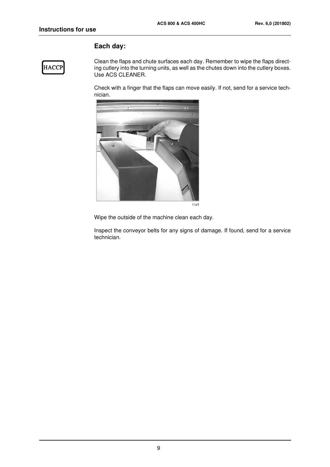#### **Each day:**

## **HACCP**

Clean the flaps and chute surfaces each day. Remember to wipe the flaps directing cutlery into the turning units, as well as the chutes down into the cutlery boxes. Use ACS CLEANER.

Check with a finger that the flaps can move easily. If not, send for a service technician.



Wipe the outside of the machine clean each day.

Inspect the conveyor belts for any signs of damage. If found, send for a service technician.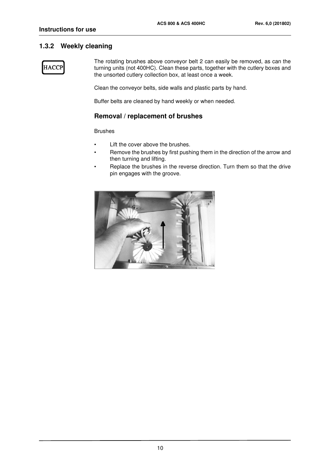#### <span id="page-13-0"></span>**1.3.2 Weekly cleaning**

**HACCP** 

The rotating brushes above conveyor belt 2 can easily be removed, as can the turning units (not 400HC). Clean these parts, together with the cutlery boxes and the unsorted cutlery collection box, at least once a week.

Clean the conveyor belts, side walls and plastic parts by hand.

Buffer belts are cleaned by hand weekly or when needed.

#### **Removal / replacement of brushes**

Brushes

- Lift the cover above the brushes.
- Remove the brushes by first pushing them in the direction of the arrow and then turning and lifting.
- Replace the brushes in the reverse direction. Turn them so that the drive pin engages with the groove.